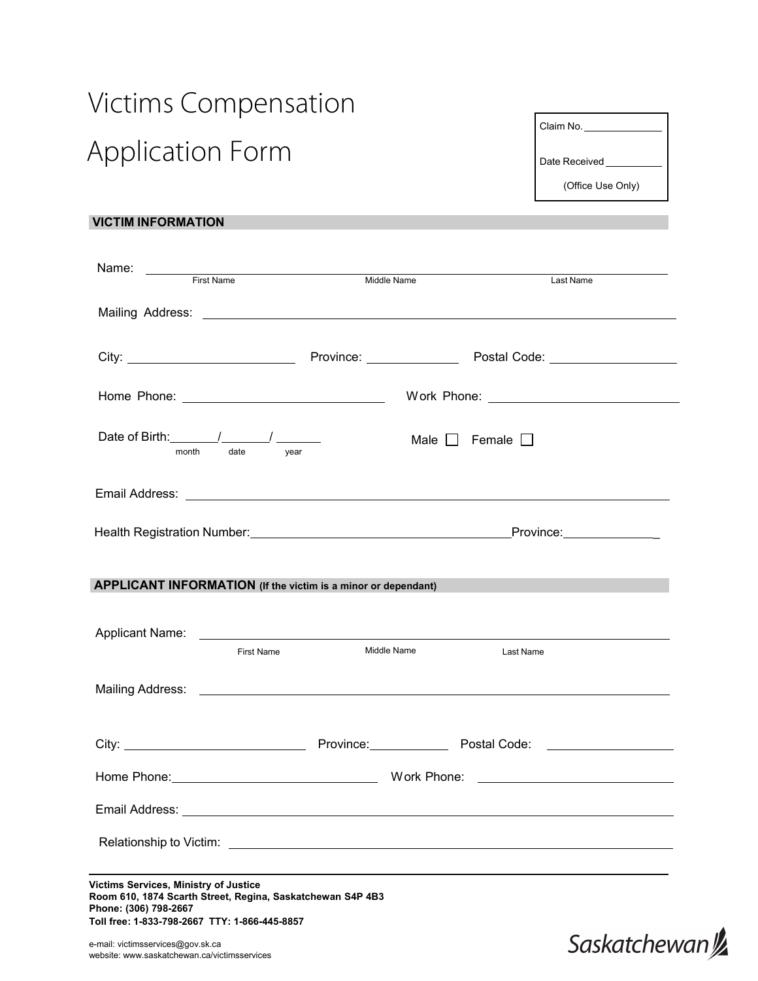## Victims Compensation Application Form

| Claim No.         |
|-------------------|
| Date Received     |
| (Office Use Only) |
|                   |

## **VICTIM INFORMATION**

| Name: First Name                                                                                                                                                                                                                                 | Middle Name | Last Name |
|--------------------------------------------------------------------------------------------------------------------------------------------------------------------------------------------------------------------------------------------------|-------------|-----------|
|                                                                                                                                                                                                                                                  |             |           |
|                                                                                                                                                                                                                                                  |             |           |
|                                                                                                                                                                                                                                                  |             |           |
| date year<br>month                                                                                                                                                                                                                               |             |           |
| Email Address: <u>The Communication of the Communication</u> of the Communication of the Communication of the Communication                                                                                                                      |             |           |
|                                                                                                                                                                                                                                                  |             |           |
| APPLICANT INFORMATION (If the victim is a minor or dependant)                                                                                                                                                                                    |             |           |
| Applicant Name: <u>experience</u> and the contract of the contract of the contract of the contract of the contract of the contract of the contract of the contract of the contract of the contract of the contract of the contract<br>First Name | Middle Name | Last Name |
|                                                                                                                                                                                                                                                  |             |           |
|                                                                                                                                                                                                                                                  |             |           |
|                                                                                                                                                                                                                                                  |             |           |
| Email Address: No. 2006. The Contract of the Contract of the Contract of the Contract of the Contract of the Contract of the Contract of the Contract of the Contract of the Contract of the Contract of the Contract of the C                   |             |           |
|                                                                                                                                                                                                                                                  |             |           |
| Victims Services, Ministry of Justice                                                                                                                                                                                                            |             |           |
| Room 610, 1874 Scarth Street, Regina, Saskatchewan S4P 4B3<br>Phone: (306) 798-2667<br>Toll free: 1-833-798-2667 TTY: 1-866-445-8857                                                                                                             |             |           |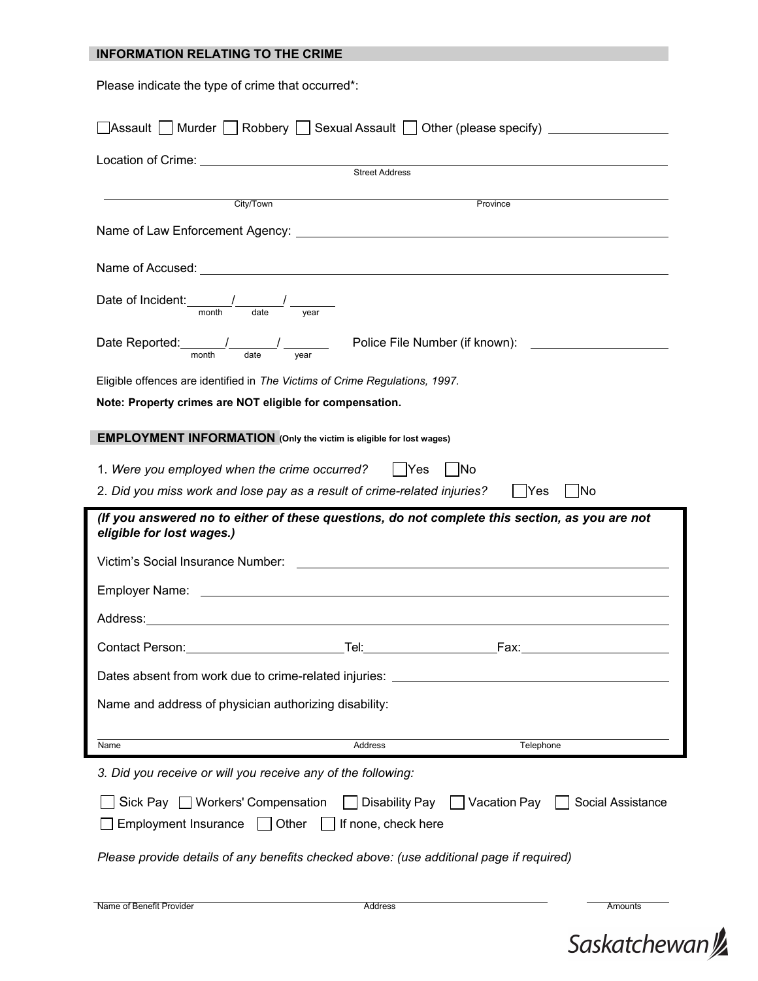| <b>INFORMATION RELATING TO THE CRIME</b>                                                                                                                                                                                             |         |                                                                                                        |  |
|--------------------------------------------------------------------------------------------------------------------------------------------------------------------------------------------------------------------------------------|---------|--------------------------------------------------------------------------------------------------------|--|
| Please indicate the type of crime that occurred*:                                                                                                                                                                                    |         |                                                                                                        |  |
|                                                                                                                                                                                                                                      |         | $\Box$ Assault $\Box$ Murder $\Box$ Robbery $\Box$ Sexual Assault $\Box$ Other (please specify) $\_\_$ |  |
| Location of Crime: <u>Conserver Conserver Street Address</u>                                                                                                                                                                         |         |                                                                                                        |  |
|                                                                                                                                                                                                                                      |         |                                                                                                        |  |
| City/Town                                                                                                                                                                                                                            |         | Province                                                                                               |  |
|                                                                                                                                                                                                                                      |         |                                                                                                        |  |
|                                                                                                                                                                                                                                      |         |                                                                                                        |  |
| Date of Incident: $\frac{1}{\text{month}}$ $\frac{1}{\text{date}}$ $\frac{1}{\text{year}}$                                                                                                                                           |         |                                                                                                        |  |
| Date Reported: $\frac{1}{\text{month}}$ $\frac{1}{\text{date}}$ $\frac{1}{\text{year}}$ Police File Number (if known):                                                                                                               |         |                                                                                                        |  |
| Eligible offences are identified in The Victims of Crime Regulations, 1997.                                                                                                                                                          |         |                                                                                                        |  |
| Note: Property crimes are NOT eligible for compensation.                                                                                                                                                                             |         |                                                                                                        |  |
| <b>EMPLOYMENT INFORMATION</b> (Only the victim is eligible for lost wages)                                                                                                                                                           |         |                                                                                                        |  |
| 1. Were you employed when the crime occurred?   Yes                                                                                                                                                                                  |         | No                                                                                                     |  |
| 2. Did you miss work and lose pay as a result of crime-related injuries?                                                                                                                                                             |         | Yes<br><b>No</b>                                                                                       |  |
| (If you answered no to either of these questions, do not complete this section, as you are not<br>eligible for lost wages.)                                                                                                          |         |                                                                                                        |  |
| Victim's Social Insurance Number: <b>All any Contract Contract Contract Contract Contract Contract Contract Contract Contract Contract Contract Contract Contract Contract Contract Contract Contract Contract Contract Contract</b> |         |                                                                                                        |  |
|                                                                                                                                                                                                                                      |         |                                                                                                        |  |
|                                                                                                                                                                                                                                      |         |                                                                                                        |  |
|                                                                                                                                                                                                                                      |         |                                                                                                        |  |
|                                                                                                                                                                                                                                      |         |                                                                                                        |  |
| Name and address of physician authorizing disability:                                                                                                                                                                                |         |                                                                                                        |  |
| Name                                                                                                                                                                                                                                 | Address | Telephone                                                                                              |  |
| 3. Did you receive or will you receive any of the following:                                                                                                                                                                         |         |                                                                                                        |  |
| Social Assistance<br>Sick Pay □ Workers' Compensation<br>Disability Pay   Vacation Pay    <br>Employment Insurance $\vert \ \vert$ Other $\vert \ \vert$ If none, check here                                                         |         |                                                                                                        |  |
| Please provide details of any benefits checked above: (use additional page if required)                                                                                                                                              |         |                                                                                                        |  |
|                                                                                                                                                                                                                                      |         |                                                                                                        |  |

| Name of Benefit Provider | Address | Amounts |
|--------------------------|---------|---------|
|                          |         |         |
|                          |         |         |

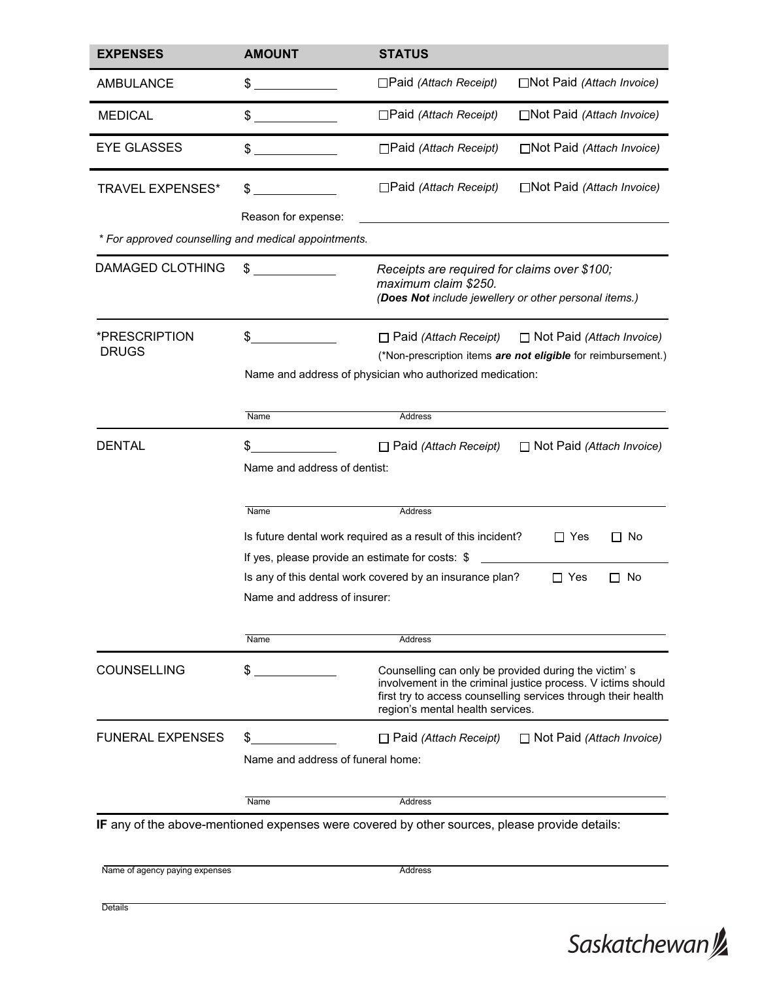| <b>EXPENSES</b>                                      | <b>AMOUNT</b>                                                                                                                                                                                       | <b>STATUS</b>                                                                                                                                                                                                             |  |
|------------------------------------------------------|-----------------------------------------------------------------------------------------------------------------------------------------------------------------------------------------------------|---------------------------------------------------------------------------------------------------------------------------------------------------------------------------------------------------------------------------|--|
| <b>AMBULANCE</b>                                     | \$                                                                                                                                                                                                  | $\Box$ Paid (Attach Receipt)<br>$\Box$ Not Paid (Attach Invoice)                                                                                                                                                          |  |
| <b>MEDICAL</b>                                       | \$                                                                                                                                                                                                  | □Paid (Attach Receipt)<br>□Not Paid (Attach Invoice)                                                                                                                                                                      |  |
| <b>EYE GLASSES</b>                                   | \$                                                                                                                                                                                                  | □Paid (Attach Receipt)<br>□Not Paid (Attach Invoice)                                                                                                                                                                      |  |
| <b>TRAVEL EXPENSES*</b>                              | \$                                                                                                                                                                                                  | □Not Paid (Attach Invoice)<br>$\Box$ Paid (Attach Receipt)                                                                                                                                                                |  |
|                                                      | Reason for expense:                                                                                                                                                                                 |                                                                                                                                                                                                                           |  |
| * For approved counselling and medical appointments. |                                                                                                                                                                                                     |                                                                                                                                                                                                                           |  |
| <b>DAMAGED CLOTHING</b>                              | \$                                                                                                                                                                                                  | Receipts are required for claims over \$100;<br>maximum claim \$250.<br>(Does Not include jewellery or other personal items.)                                                                                             |  |
| *PRESCRIPTION<br><b>DRUGS</b>                        | \$<br>$\Box$ Not Paid (Attach Invoice)<br>$\Box$ Paid (Attach Receipt)<br>(*Non-prescription items are not eligible for reimbursement.)<br>Name and address of physician who authorized medication: |                                                                                                                                                                                                                           |  |
|                                                      | Name                                                                                                                                                                                                | Address                                                                                                                                                                                                                   |  |
| <b>DENTAL</b>                                        | \$<br>Name and address of dentist:                                                                                                                                                                  | $\Box$ Not Paid (Attach Invoice)<br>$\Box$ Paid (Attach Receipt)                                                                                                                                                          |  |
|                                                      | Name                                                                                                                                                                                                | Address                                                                                                                                                                                                                   |  |
|                                                      |                                                                                                                                                                                                     | Is future dental work required as a result of this incident?<br>$\Box$ Yes<br>□ No<br>If yes, please provide an estimate for costs: \$                                                                                    |  |
|                                                      | Name and address of insurer:                                                                                                                                                                        | Is any of this dental work covered by an insurance plan?<br>$\Box$ Yes<br>No<br>ΙI                                                                                                                                        |  |
|                                                      | Name                                                                                                                                                                                                | Address                                                                                                                                                                                                                   |  |
| <b>COUNSELLING</b>                                   | \$                                                                                                                                                                                                  | Counselling can only be provided during the victim's<br>involvement in the criminal justice process. V ictims should<br>first try to access counselling services through their health<br>region's mental health services. |  |
| <b>FUNERAL EXPENSES</b>                              | \$<br>Name and address of funeral home:                                                                                                                                                             | $\Box$ Paid (Attach Receipt)<br>$\Box$ Not Paid (Attach Invoice)                                                                                                                                                          |  |
|                                                      | Name                                                                                                                                                                                                | Address                                                                                                                                                                                                                   |  |
|                                                      |                                                                                                                                                                                                     | IF any of the above-mentioned expenses were covered by other sources, please provide details:                                                                                                                             |  |
| Name of agency paying expenses                       |                                                                                                                                                                                                     | Address                                                                                                                                                                                                                   |  |

Saskatchewan<sup>y</sup>